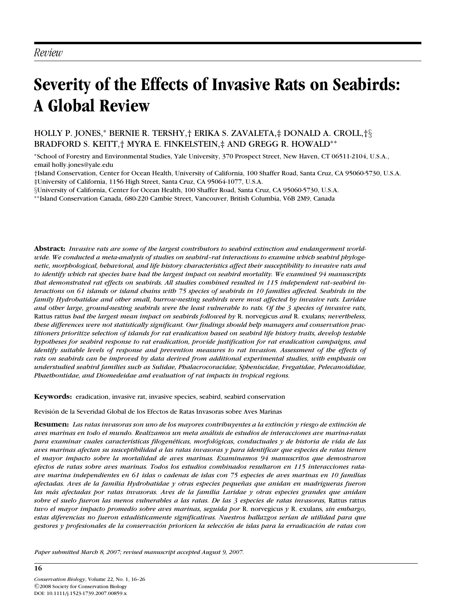# *Review*

# **Severity of the Effects of Invasive Rats on Seabirds: A Global Review**

## HOLLY P. JONES,<sup>∗</sup> BERNIE R. TERSHY,† ERIKA S. ZAVALETA,‡ DONALD A. CROLL,†§ BRADFORD S. KEITT,† MYRA E. FINKELSTEIN,‡ AND GREGG R. HOWALD∗∗

<sup>∗</sup>School of Forestry and Environmental Studies, Yale University, 370 Prospect Street, New Haven, CT 06511-2104, U.S.A., email holly.jones@yale.edu

†Island Conservation, Center for Ocean Health, University of California, 100 Shaffer Road, Santa Cruz, CA 95060-5730, U.S.A. ‡University of California, 1156 High Street, Santa Cruz, CA 95064-1077, U.S.A.

§University of California, Center for Ocean Health, 100 Shaffer Road, Santa Cruz, CA 95060-5730, U.S.A.

∗∗Island Conservation Canada, 680-220 Cambie Street, Vancouver, British Columbia, V6B 2M9, Canada

**Abstract:** *Invasive rats are some of the largest contributors to seabird extinction and endangerment worldwide. We conducted a meta-analysis of studies on seabird–rat interactions to examine which seabird phylogenetic, morphological, behavioral, and life history characteristics affect their susceptibility to invasive rats and to identify which rat species have had the largest impact on seabird mortality. We examined 94 manuscripts that demonstrated rat effects on seabirds. All studies combined resulted in 115 independent rat–seabird interactions on 61 islands or island chains with 75 species of seabirds in 10 families affected. Seabirds in the family Hydrobatidae and other small, burrow-nesting seabirds were most affected by invasive rats. Laridae and other large, ground-nesting seabirds were the least vulnerable to rats. Of the 3 species of invasive rats,* Rattus rattus *had the largest mean impact on seabirds followed by* R. norvegicus *and* R. exulans*; nevertheless, these differences were not statistically significant. Our findings should help managers and conservation practitioners prioritize selection of islands for rat eradication based on seabird life history traits, develop testable hypotheses for seabird response to rat eradication, provide justification for rat eradication campaigns, and identify suitable levels of response and prevention measures to rat invasion. Assessment of the effects of rats on seabirds can be improved by data derived from additional experimental studies, with emphasis on understudied seabird families such as Sulidae, Phalacrocoracidae, Spheniscidae, Fregatidae, Pelecanoididae, Phaethontidae, and Diomedeidae and evaluation of rat impacts in tropical regions.*

**Keywords:** eradication, invasive rat, invasive species, seabird, seabird conservation

Revision de la Severidad Global de los Efectos de Ratas Invasoras sobre Aves Marinas ´

**Resumen:** *Las ratas invasoras son uno de los mayores contribuyentes a la extincion y riesgo de extinci ´ on de ´ aves marinas en todo el mundo. Realizamos un meta analisis de estudios de interacciones ave marina-ratas ´ para examinar cuales caracter´ısticas filogen´eticas, morfologicas, conductuales y de historia de vida de las ´ aves marinas afectan su susceptibilidad a las ratas invasoras y para identificar que especies de ratas tienen el mayor impacto sobre la mortalidad de aves marinas. Examinamos 94 manuscritos que demostraron efectos de ratas sobre aves marinas. Todos los estudios combinados resultaron en 115 interacciones rataave marina independientes en 61 islas o cadenas de islas con 75 especies de aves marinas en 10 familias afectadas. Aves de la familia Hydrobatidae y otras especies pequenas que anidan en madrigueras fueron ˜ las mas afectadas por ratas invasoras. Aves de la familia Laridae y otras especies grandes que anidan ´ sobre el suelo fueron las menos vulnerables a las ratas. De las 3 especies de ratas invasoras,* Rattus rattus *tuvo el mayor impacto promedio sobre aves marinas, seguida por* R. norvegicus *y* R. exulans*, sin embargo,* estas diferencias no fueron estadísticamente significativas. Nuestros hallazgos serían de utilidad para que *gestores y profesionales de la conservacion prioricen la selecci ´ on de islas para la erradicaci ´ on de ratas con ´*

*Paper submitted March 8, 2007; revised manuscript accepted August 9, 2007.*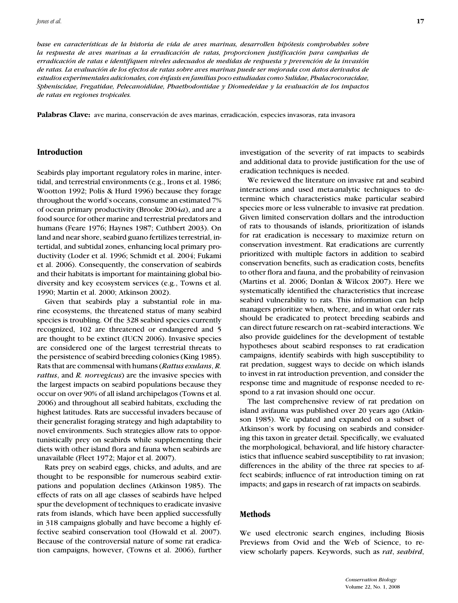*base en caracter´ısticas de la historia de vida de aves marinas, desarrollen hipotesis comprobables sobre ´ la respuesta de aves marinas a la erradicación de ratas, proporcionen justificación para campañas de erradicacion de ratas e identifiquen niveles adecuados de medidas de respuesta y prevenci ´ on de la invasi ´ on´ de ratas. La evaluacion de los efectos de ratas sobre aves marinas puede ser mejorada con datos derivados de ´ estudios experimentales adicionales, con ´enfasis en familias poco estudiadas como Sulidae, Phalacrocoracidae, Spheniscidae, Fregatidae, Pelecanoididae, Phaethodontidae y Diomedeidae y la evaluacion de los impactos ´ de ratas en regiones tropicales.*

Palabras Clave: ave marina, conservación de aves marinas, erradicación, especies invasoras, rata invasora

## **Introduction**

Seabirds play important regulatory roles in marine, intertidal, and terrestrial environments (e.g., Irons et al. 1986; Wootton 1992; Polis & Hurd 1996) because they forage throughout the world's oceans, consume an estimated 7% of ocean primary productivity (Brooke 2004*a*), and are a food source for other marine and terrestrial predators and humans (Feare 1976; Haynes 1987; Cuthbert 2003). On land and near shore, seabird guano fertilizes terrestrial, intertidal, and subtidal zones, enhancing local primary productivity (Loder et al. 1996; Schmidt et al. 2004; Fukami et al. 2006). Consequently, the conservation of seabirds and their habitats is important for maintaining global biodiversity and key ecosystem services (e.g., Towns et al. 1990; Martin et al. 2000; Atkinson 2002).

Given that seabirds play a substantial role in marine ecosystems, the threatened status of many seabird species is troubling. Of the 328 seabird species currently recognized, 102 are threatened or endangered and 5 are thought to be extinct (IUCN 2006). Invasive species are considered one of the largest terrestrial threats to the persistence of seabird breeding colonies (King 1985). Rats that are commensal with humans (*Rattus exulans*, *R. rattus*, and *R. norvegicus*) are the invasive species with the largest impacts on seabird populations because they occur on over 90% of all island archipelagos (Towns et al. 2006) and throughout all seabird habitats, excluding the highest latitudes. Rats are successful invaders because of their generalist foraging strategy and high adaptability to novel environments. Such strategies allow rats to opportunistically prey on seabirds while supplementing their diets with other island flora and fauna when seabirds are unavailable (Fleet 1972; Major et al. 2007).

Rats prey on seabird eggs, chicks, and adults, and are thought to be responsible for numerous seabird extirpations and population declines (Atkinson 1985). The effects of rats on all age classes of seabirds have helped spur the development of techniques to eradicate invasive rats from islands, which have been applied successfully in 318 campaigns globally and have become a highly effective seabird conservation tool (Howald et al. 2007). Because of the controversial nature of some rat eradication campaigns, however, (Towns et al. 2006), further investigation of the severity of rat impacts to seabirds and additional data to provide justification for the use of eradication techniques is needed.

We reviewed the literature on invasive rat and seabird interactions and used meta-analytic techniques to determine which characteristics make particular seabird species more or less vulnerable to invasive rat predation. Given limited conservation dollars and the introduction of rats to thousands of islands, prioritization of islands for rat eradication is necessary to maximize return on conservation investment. Rat eradications are currently prioritized with multiple factors in addition to seabird conservation benefits, such as eradication costs, benefits to other flora and fauna, and the probability of reinvasion (Martins et al. 2006; Donlan & Wilcox 2007). Here we systematically identified the characteristics that increase seabird vulnerability to rats. This information can help managers prioritize when, where, and in what order rats should be eradicated to protect breeding seabirds and can direct future research on rat–seabird interactions. We also provide guidelines for the development of testable hypotheses about seabird responses to rat eradication campaigns, identify seabirds with high susceptibility to rat predation, suggest ways to decide on which islands to invest in rat introduction prevention, and consider the response time and magnitude of response needed to respond to a rat invasion should one occur.

The last comprehensive review of rat predation on island avifauna was published over 20 years ago (Atkinson 1985). We updated and expanded on a subset of Atkinson's work by focusing on seabirds and considering this taxon in greater detail. Specifically, we evaluated the morphological, behavioral, and life history characteristics that influence seabird susceptibility to rat invasion; differences in the ability of the three rat species to affect seabirds; influence of rat introduction timing on rat impacts; and gaps in research of rat impacts on seabirds.

## **Methods**

We used electronic search engines, including Biosis Previews from Ovid and the Web of Science, to review scholarly papers. Keywords, such as *rat*, *seabird*,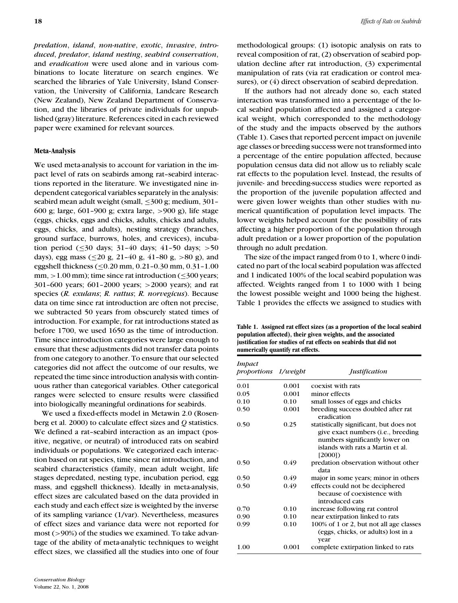*predation*, *island*, *non-native*, *exotic*, *invasive*, *introduced*, *predator*, *island nesting*, *seabird conservation*, and *eradication* were used alone and in various combinations to locate literature on search engines. We searched the libraries of Yale University, Island Conservation, the University of California, Landcare Research (New Zealand), New Zealand Department of Conservation, and the libraries of private individuals for unpublished (gray) literature. References cited in each reviewed paper were examined for relevant sources.

#### **Meta-Analysis**

We used meta-analysis to account for variation in the impact level of rats on seabirds among rat–seabird interactions reported in the literature. We investigated nine independent categorical variables separately in the analysis: seabird mean adult weight (small, ≤300 g; medium, 301– 600 g; large, 601–900 g; extra large, >900 g), life stage (eggs, chicks, eggs and chicks, adults, chicks and adults, eggs, chicks, and adults), nesting strategy (branches, ground surface, burrows, holes, and crevices), incubation period ( $\leq$ 30 days; 31-40 days; 41-50 days; >50 days), egg mass  $(\leq 20 \text{ g}, 21-40 \text{ g}, 41-80 \text{ g}, >80 \text{ g})$ , and eggshell thickness (≤0.20 mm, 0.21–0.30 mm, 0.31–1.00 mm,  $>1.00$  mm); time since rat introduction ( $\leq$ 300 years; 301–600 years; 601–2000 years; >2000 years); and rat species (*R. exulans*; *R. rattus*; *R. norvegicus*). Because data on time since rat introduction are often not precise, we subtracted 50 years from obscurely stated times of introduction. For example, for rat introductions stated as before 1700, we used 1650 as the time of introduction. Time since introduction categories were large enough to ensure that these adjustments did not transfer data points from one category to another. To ensure that our selected categories did not affect the outcome of our results, we repeated the time since introduction analysis with continuous rather than categorical variables. Other categorical ranges were selected to ensure results were classified into biologically meaningful ordinations for seabirds.

We used a fixed-effects model in Metawin 2.0 (Rosenberg et al. 2000) to calculate effect sizes and *Q* statistics. We defined a rat–seabird interaction as an impact (positive, negative, or neutral) of introduced rats on seabird individuals or populations. We categorized each interaction based on rat species, time since rat introduction, and seabird characteristics (family, mean adult weight, life stages depredated, nesting type, incubation period, egg mass, and eggshell thickness). Ideally in meta-analysis, effect sizes are calculated based on the data provided in each study and each effect size is weighted by the inverse of its sampling variance (1/var). Nevertheless, measures of effect sizes and variance data were not reported for most (>90%) of the studies we examined. To take advantage of the ability of meta-analytic techniques to weight effect sizes, we classified all the studies into one of four methodological groups: (1) isotopic analysis on rats to reveal composition of rat, (2) observation of seabird population decline after rat introduction, (3) experimental manipulation of rats (via rat eradication or control measures), or (4) direct observation of seabird depredation.

If the authors had not already done so, each stated interaction was transformed into a percentage of the local seabird population affected and assigned a categorical weight, which corresponded to the methodology of the study and the impacts observed by the authors (Table 1). Cases that reported percent impact on juvenile age classes or breeding success were not transformed into a percentage of the entire population affected, because population census data did not allow us to reliably scale rat effects to the population level. Instead, the results of juvenile- and breeding-success studies were reported as the proportion of the juvenile population affected and were given lower weights than other studies with numerical quantification of population level impacts. The lower weights helped account for the possibility of rats affecting a higher proportion of the population through adult predation or a lower proportion of the population through no adult predation.

The size of the impact ranged from 0 to 1, where 0 indicated no part of the local seabird population was affected and 1 indicated 100% of the local seabird population was affected. Weights ranged from 1 to 1000 with 1 being the lowest possible weight and 1000 being the highest. Table 1 provides the effects we assigned to studies with

**Table 1. Assigned rat effect sizes (as a proportion of the local seabird population affected), their given weights, and the associated justification for studies of rat effects on seabirds that did not numerically quantify rat effects.**

| <i>Impact</i><br><i>proportions 1/weight</i> |       | <i>Justification</i>                                                                                                                                                    |
|----------------------------------------------|-------|-------------------------------------------------------------------------------------------------------------------------------------------------------------------------|
| 0.01                                         | 0.001 | coexist with rats                                                                                                                                                       |
| 0.05                                         | 0.001 | minor effects                                                                                                                                                           |
| 0.10                                         | 0.10  | small losses of eggs and chicks                                                                                                                                         |
| 0.50                                         | 0.001 | breeding success doubled after rat<br>eradication                                                                                                                       |
| 0.50                                         | 0.25  | statistically significant, but does not<br>give exact numbers ( <i>i.e.</i> , breeding<br>numbers significantly lower on<br>islands with rats a Martin et al.<br>[2000] |
| 0.50                                         | 0.49  | predation observation without other<br>data                                                                                                                             |
| 0.50                                         | 0.49  | major in some years; minor in others                                                                                                                                    |
| 0.50                                         | 0.49  | effects could not be deciphered<br>because of coexistence with<br>introduced cats                                                                                       |
| 0.70                                         | 0.10  | increase following rat control                                                                                                                                          |
| 0.90                                         | 0.10  | near extirpation linked to rats                                                                                                                                         |
| 0.99                                         | 0.10  | 100% of 1 or 2, but not all age classes<br>(eggs, chicks, or adults) lost in a<br>year                                                                                  |
| 1.00                                         | 0.001 | complete extirpation linked to rats                                                                                                                                     |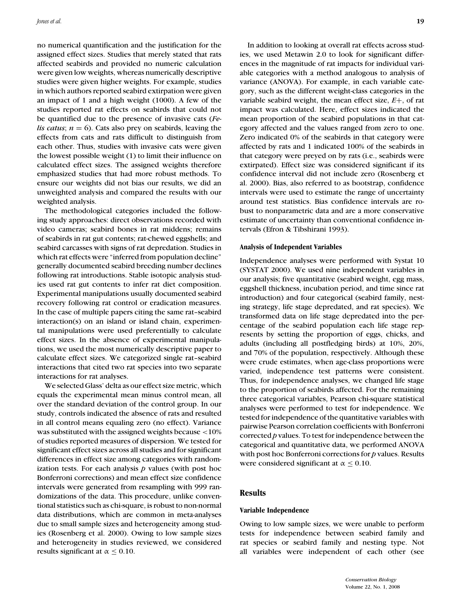no numerical quantification and the justification for the assigned effect sizes. Studies that merely stated that rats affected seabirds and provided no numeric calculation were given low weights, whereas numerically descriptive studies were given higher weights. For example, studies in which authors reported seabird extirpation were given an impact of 1 and a high weight (1000). A few of the studies reported rat effects on seabirds that could not be quantified due to the presence of invasive cats (*Felis catus*;  $n = 6$ . Cats also prey on seabirds, leaving the effects from cats and rats difficult to distinguish from each other. Thus, studies with invasive cats were given the lowest possible weight (1) to limit their influence on calculated effect sizes. The assigned weights therefore emphasized studies that had more robust methods. To ensure our weights did not bias our results, we did an unweighted analysis and compared the results with our weighted analysis.

The methodological categories included the following study approaches: direct observations recorded with video cameras; seabird bones in rat middens; remains of seabirds in rat gut contents; rat-chewed eggshells; and seabird carcasses with signs of rat depredation. Studies in which rat effects were "inferred from population decline" generally documented seabird breeding number declines following rat introductions. Stable isotopic analysis studies used rat gut contents to infer rat diet composition. Experimental manipulations usually documented seabird recovery following rat control or eradication measures. In the case of multiple papers citing the same rat–seabird interaction(s) on an island or island chain, experimental manipulations were used preferentially to calculate effect sizes. In the absence of experimental manipulations, we used the most numerically descriptive paper to calculate effect sizes. We categorized single rat–seabird interactions that cited two rat species into two separate interactions for rat analyses.

We selected Glass' delta as our effect size metric, which equals the experimental mean minus control mean, all over the standard deviation of the control group. In our study, controls indicated the absence of rats and resulted in all control means equaling zero (no effect). Variance was substituted with the assigned weights because <10% of studies reported measures of dispersion. We tested for significant effect sizes across all studies and for significant differences in effect size among categories with randomization tests. For each analysis *p* values (with post hoc Bonferroni corrections) and mean effect size confidence intervals were generated from resampling with 999 randomizations of the data. This procedure, unlike conventional statistics such as chi-square, is robust to non-normal data distributions, which are common in meta-analyses due to small sample sizes and heterogeneity among studies (Rosenberg et al. 2000). Owing to low sample sizes and heterogeneity in studies reviewed, we considered results significant at  $\alpha \leq 0.10$ .

In addition to looking at overall rat effects across studies, we used Metawin 2.0 to look for significant differences in the magnitude of rat impacts for individual variable categories with a method analogous to analysis of variance (ANOVA). For example, in each variable category, such as the different weight-class categories in the variable seabird weight, the mean effect size, *E*+, of rat impact was calculated. Here, effect sizes indicated the mean proportion of the seabird populations in that category affected and the values ranged from zero to one. Zero indicated 0% of the seabirds in that category were affected by rats and 1 indicated 100% of the seabirds in that category were preyed on by rats (i.e., seabirds were extirpated). Effect size was considered significant if its confidence interval did not include zero (Rosenberg et al. 2000). Bias, also referred to as bootstrap, confidence intervals were used to estimate the range of uncertainty around test statistics. Bias confidence intervals are robust to nonparametric data and are a more conservative estimate of uncertainty than conventional confidence intervals (Efron & Tibshirani 1993).

#### **Analysis of Independent Variables**

Independence analyses were performed with Systat 10 (SYSTAT 2000). We used nine independent variables in our analysis; five quantitative (seabird weight, egg mass, eggshell thickness, incubation period, and time since rat introduction) and four categorical (seabird family, nesting strategy, life stage depredated, and rat species). We transformed data on life stage depredated into the percentage of the seabird population each life stage represents by setting the proportion of eggs, chicks, and adults (including all postfledging birds) at 10%, 20%, and 70% of the population, respectively. Although these were crude estimates, when age-class proportions were varied, independence test patterns were consistent. Thus, for independence analyses, we changed life stage to the proportion of seabirds affected. For the remaining three categorical variables, Pearson chi-square statistical analyses were performed to test for independence. We tested for independence of the quantitative variables with pairwise Pearson correlation coefficients with Bonferroni corrected *p* values. To test for independence between the categorical and quantitative data, we performed ANOVA with post hoc Bonferroni corrections for *p* values. Results were considered significant at  $\alpha \leq 0.10$ .

## **Results**

#### **Variable Independence**

Owing to low sample sizes, we were unable to perform tests for independence between seabird family and rat species or seabird family and nesting type. Not all variables were independent of each other (see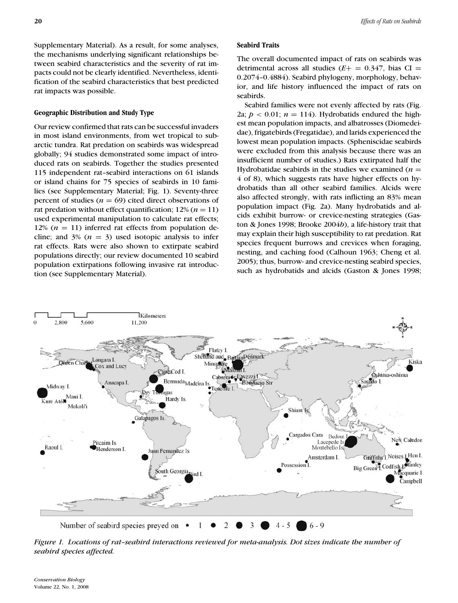Supplementary Material). As a result, for some analyses, the mechanisms underlying significant relationships between seabird characteristics and the severity of rat impacts could not be clearly identified. Nevertheless, identification of the seabird characteristics that best predicted rat impacts was possible.

## **Geographic Distribution and Study Type**

Our review confirmed that rats can be successful invaders in most island environments, from wet tropical to subarctic tundra. Rat predation on seabirds was widespread globally; 94 studies demonstrated some impact of introduced rats on seabirds. Together the studies presented 115 independent rat–seabird interactions on 61 islands or island chains for 75 species of seabirds in 10 families (see Supplementary Material; Fig. 1). Seventy-three percent of studies  $(n = 69)$  cited direct observations of rat predation without effect quantification;  $12\% (n = 11)$ used experimental manipulation to calculate rat effects; 12%  $(n = 11)$  inferred rat effects from population decline; and  $3\%$  ( $n = 3$ ) used isotopic analysis to infer rat effects. Rats were also shown to extirpate seabird populations directly; our review documented 10 seabird population extirpations following invasive rat introduction (see Supplementary Material).

## **Seabird Traits**

The overall documented impact of rats on seabirds was detrimental across all studies  $(E+ = 0.347)$ , bias CI = 0.2074–0.4884). Seabird phylogeny, morphology, behavior, and life history influenced the impact of rats on seabirds.

Seabird families were not evenly affected by rats (Fig. 2a;  $p < 0.01$ ;  $n = 114$ ). Hydrobatids endured the highest mean population impacts, and albatrosses (Diomedeidae), frigatebirds (Fregatidae), and larids experienced the lowest mean population impacts. (Spheniscidae seabirds were excluded from this analysis because there was an insufficient number of studies.) Rats extirpated half the Hydrobatidae seabirds in the studies we examined  $(n =$ 4 of 8), which suggests rats have higher effects on hydrobatids than all other seabird families. Alcids were also affected strongly, with rats inflicting an 83% mean population impact (Fig. 2a). Many hydrobatids and alcids exhibit burrow- or crevice-nesting strategies (Gaston & Jones 1998; Brooke 2004*b*), a life-history trait that may explain their high susceptibility to rat predation. Rat species frequent burrows and crevices when foraging, nesting, and caching food (Calhoun 1963; Cheng et al. 2005); thus, burrow- and crevice-nesting seabird species, such as hydrobatids and alcids (Gaston & Jones 1998;



*Figure 1. Locations of rat–seabird interactions reviewed for meta-analysis. Dot sizes indicate the number of seabird species affected.*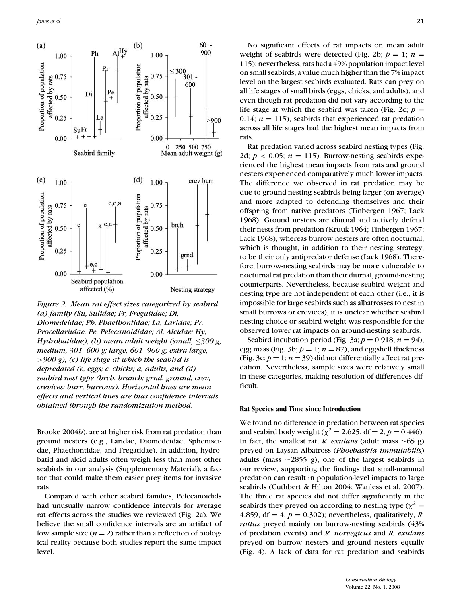

*Figure 2. Mean rat effect sizes categorized by seabird (a) family (Su, Sulidae; Fr, Fregatidae; Di, Diomedeidae; Ph, Phaethontidae; La, Laridae; Pr. Procellariidae, Pe, Pelecanoididae; Al, Alcidae; Hy, Hydrobatidae), (b) mean adult weight (small,* ≤*300 g; medium, 301–600 g; large, 601–900 g; extra large,* >*900 g), (c) life stage at which the seabird is depredated (e, eggs; c, chicks; a, adults, and (d) seabird nest type (brch, branch; grnd, ground; crev, crevices; burr, burrows). Horizontal lines are mean effects and vertical lines are bias confidence intervals obtained through the randomization method.*

Brooke 2004*b*), are at higher risk from rat predation than ground nesters (e.g., Laridae, Diomedeidae, Spheniscidae, Phaethontidae, and Fregatidae). In addition, hydrobatid and alcid adults often weigh less than most other seabirds in our analysis (Supplementary Material), a factor that could make them easier prey items for invasive rats.

Compared with other seabird families, Pelecanoidids had unusually narrow confidence intervals for average rat effects across the studies we reviewed (Fig. 2a). We believe the small confidence intervals are an artifact of low sample size  $(n = 2)$  rather than a reflection of biological reality because both studies report the same impact level.

No significant effects of rat impacts on mean adult weight of seabirds were detected (Fig. 2b;  $p = 1$ ;  $n =$ 115); nevertheless, rats had a 49% population impact level on small seabirds, a value much higher than the 7% impact level on the largest seabirds evaluated. Rats can prey on all life stages of small birds (eggs, chicks, and adults), and even though rat predation did not vary according to the life stage at which the seabird was taken (Fig. 2c;  $p =$ 0.14;  $n = 115$ ), seabirds that experienced rat predation across all life stages had the highest mean impacts from rats.

Rat predation varied across seabird nesting types (Fig. 2d;  $p < 0.05$ ;  $n = 115$ ). Burrow-nesting seabirds experienced the highest mean impacts from rats and ground nesters experienced comparatively much lower impacts. The difference we observed in rat predation may be due to ground-nesting seabirds being larger (on average) and more adapted to defending themselves and their offspring from native predators (Tinbergen 1967; Lack 1968). Ground nesters are diurnal and actively defend their nests from predation (Kruuk 1964; Tinbergen 1967; Lack 1968), whereas burrow nesters are often nocturnal, which is thought, in addition to their nesting strategy, to be their only antipredator defense (Lack 1968). Therefore, burrow-nesting seabirds may be more vulnerable to nocturnal rat predation than their diurnal, ground-nesting counterparts. Nevertheless, because seabird weight and nesting type are not independent of each other (i.e., it is impossible for large seabirds such as albatrosses to nest in small burrows or crevices), it is unclear whether seabird nesting choice or seabird weight was responsible for the observed lower rat impacts on ground-nesting seabirds.

Seabird incubation period (Fig. 3a;  $p = 0.918$ ;  $n = 94$ ), egg mass (Fig. 3b;  $p = 1$ ;  $n = 87$ ), and eggshell thickness (Fig.  $3c; p = 1; n = 39$ ) did not differentially affect rat predation. Nevertheless, sample sizes were relatively small in these categories, making resolution of differences difficult.

## **Rat Species and Time since Introduction**

We found no difference in predation between rat species and seabird body weight ( $\chi^2 = 2.625$ , df = 2, p = 0.446). In fact, the smallest rat, *R. exulans* (adult mass ∼65 g) preyed on Laysan Albatross (*Phoebastria immutabilis*) adults (mass ∼2855 g), one of the largest seabirds in our review, supporting the findings that small-mammal predation can result in population-level impacts to large seabirds (Cuthbert & Hilton 2004; Wanless et al. 2007). The three rat species did not differ significantly in the seabirds they preyed on according to nesting type ( $\chi^2$  = 4.859, df =  $4, p = 0.302$ ; nevertheless, qualitatively, *R*. *rattus* preyed mainly on burrow-nesting seabirds (43% of predation events) and *R. norvegicus* and *R. exulans* preyed on burrow nesters and ground nesters equally (Fig. 4). A lack of data for rat predation and seabirds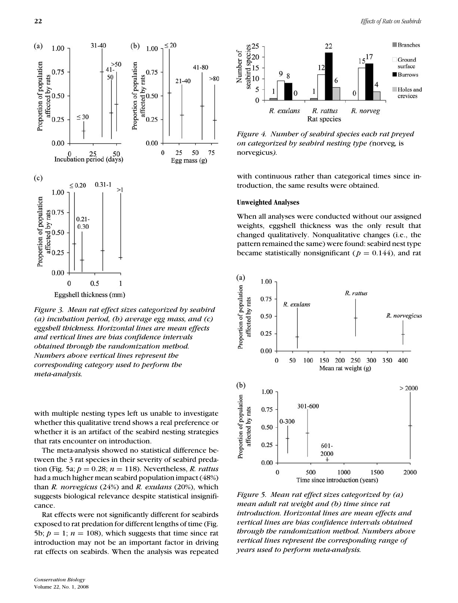

*Figure 3. Mean rat effect sizes categorized by seabird (a) incubation period, (b) average egg mass, and (c) eggshell thickness. Horizontal lines are mean effects and vertical lines are bias confidence intervals obtained through the randomization method. Numbers above vertical lines represent the corresponding category used to perform the meta-analysis.*

with multiple nesting types left us unable to investigate whether this qualitative trend shows a real preference or whether it is an artifact of the seabird nesting strategies that rats encounter on introduction.

The meta-analysis showed no statistical difference between the 3 rat species in their severity of seabird predation (Fig. 5a; *p* = 0.28; *n* = 118). Nevertheless, *R. rattus* had a much higher mean seabird population impact (48%) than *R. norvegicus* (24%) and *R. exulans* (20%), which suggests biological relevance despite statistical insignificance.

Rat effects were not significantly different for seabirds exposed to rat predation for different lengths of time (Fig. 5b;  $p = 1$ ;  $n = 108$ ), which suggests that time since rat introduction may not be an important factor in driving rat effects on seabirds. When the analysis was repeated



*Figure 4. Number of seabird species each rat preyed on categorized by seabird nesting type (*norveg*,* is norvegicus*).*

with continuous rather than categorical times since introduction, the same results were obtained.

#### **Unweighted Analyses**

When all analyses were conducted without our assigned weights, eggshell thickness was the only result that changed qualitatively. Nonqualitative changes (i.e., the pattern remained the same) were found: seabird nest type became statistically nonsignificant ( $p = 0.144$ ), and rat



*Figure 5. Mean rat effect sizes categorized by (a) mean adult rat weight and (b) time since rat introduction. Horizontal lines are mean effects and vertical lines are bias confidence intervals obtained through the randomization method. Numbers above vertical lines represent the corresponding range of years used to perform meta-analysis.*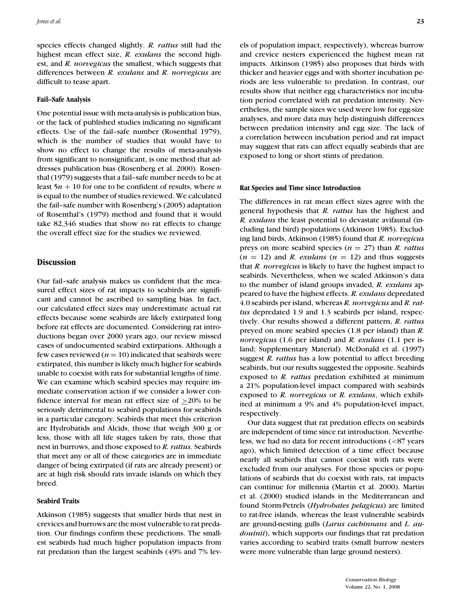species effects changed slightly. *R. rattus* still had the highest mean effect size, *R. exulans* the second highest, and *R. norvegicus* the smallest, which suggests that differences between *R. exulans* and *R. norvegicus* are difficult to tease apart.

#### **Fail–Safe Analysis**

One potential issue with meta-analysis is publication bias, or the lack of published studies indicating no significant effects. Use of the fail–safe number (Rosenthal 1979), which is the number of studies that would have to show no effect to change the results of meta-analysis from significant to nonsignificant, is one method that addresses publication bias (Rosenberg et al. 2000). Rosenthal (1979) suggests that a fail–safe number needs to be at least 5*n* + 10 for one to be confident of results, where *n* is equal to the number of studies reviewed. We calculated the fail–safe number with Rosenberg's (2005) adaptation of Rosenthal's (1979) method and found that it would take 82,346 studies that show no rat effects to change the overall effect size for the studies we reviewed.

## **Discussion**

Our fail–safe analysis makes us confident that the measured effect sizes of rat impacts to seabirds are significant and cannot be ascribed to sampling bias. In fact, our calculated effect sizes may underestimate actual rat effects because some seabirds are likely extirpated long before rat effects are documented. Considering rat introductions began over 2000 years ago, our review missed cases of undocumented seabird extirpations. Although a few cases reviewed  $(n = 10)$  indicated that seabirds were extirpated, this number is likely much higher for seabirds unable to coexist with rats for substantial lengths of time. We can examine which seabird species may require immediate conservation action if we consider a lower confidence interval for mean rat effect size of  $\geq$ 20% to be seriously detrimental to seabird populations for seabirds in a particular category. Seabirds that meet this criterion are Hydrobatids and Alcids, those that weigh 300 g or less, those with all life stages taken by rats, those that nest in burrows, and those exposed to *R. rattus*. Seabirds that meet any or all of these categories are in immediate danger of being extirpated (if rats are already present) or are at high risk should rats invade islands on which they breed.

## **Seabird Traits**

Atkinson (1985) suggests that smaller birds that nest in crevices and burrows are the most vulnerable to rat predation. Our findings confirm these predictions. The smallest seabirds had much higher population impacts from rat predation than the largest seabirds (49% and 7% levels of population impact, respectively), whereas burrow and crevice nesters experienced the highest mean rat impacts. Atkinson (1985) also proposes that birds with thicker and heavier eggs and with shorter incubation periods are less vulnerable to predation. In contrast, our results show that neither egg characteristics nor incubation period correlated with rat predation intensity. Nevertheless, the sample sizes we used were low for egg-size analyses, and more data may help distinguish differences between predation intensity and egg size. The lack of a correlation between incubation period and rat impact may suggest that rats can affect equally seabirds that are exposed to long or short stints of predation.

#### **Rat Species and Time since Introduction**

The differences in rat mean effect sizes agree with the general hypothesis that *R. rattus* has the highest and *R. exulans* the least potential to devastate avifaunal (including land bird) populations (Atkinson 1985). Excluding land birds, Atkinson (1985) found that *R. norvegicus* preys on more seabird species (*n* = 27) than *R. rattus*  $(n = 12)$  and *R. exulans*  $(n = 12)$  and thus suggests that *R. norvegicus* is likely to have the highest impact to seabirds. Nevertheless, when we scaled Atkinson's data to the number of island groups invaded, *R. exulans* appeared to have the highest effects. *R. exulans* depredated 4.0 seabirds per island, whereas *R. norvegicus* and *R. rattus* depredated 1.9 and 1.3 seabirds per island, respectively. Our results showed a different pattern, *R. rattus* preyed on more seabird species (1.8 per island) than *R. norvegicus* (1.6 per island) and *R. exulans* (1.1 per island; Supplementary Material). McDonald et al. (1997) suggest *R. rattus* has a low potential to affect breeding seabirds, but our results suggested the opposite. Seabirds exposed to *R. rattus* predation exhibited at minimum a 21% population-level impact compared with seabirds exposed to *R. norvegicus* or *R. exulans*, which exhibited at minimum a 9% and 4% population-level impact, respectively.

Our data suggest that rat predation effects on seabirds are independent of time since rat introduction. Nevertheless, we had no data for recent introductions (<87 years ago), which limited detection of a time effect because nearly all seabirds that cannot coexist with rats were excluded from our analyses. For those species or populations of seabirds that do coexist with rats, rat impacts can continue for millennia (Martin et al. 2000). Martin et al. (2000) studied islands in the Mediterranean and found Storm-Petrels (*Hydrobates pelagicus*) are limited to rat-free islands, whereas the least vulnerable seabirds are ground-nesting gulls (*Larus cachinnans* and *L. audouinii*), which supports our findings that rat predation varies according to seabird traits (small burrow nesters were more vulnerable than large ground nesters).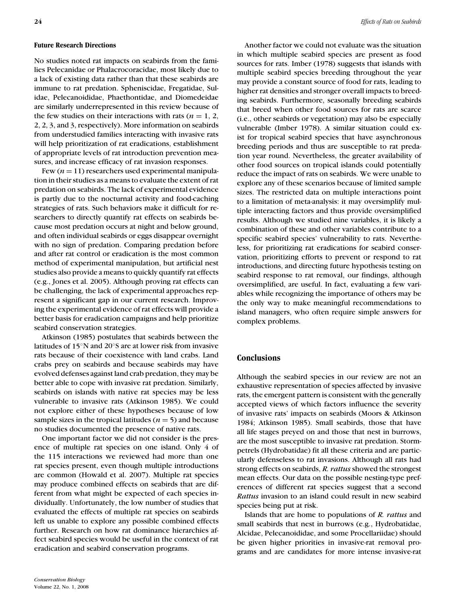### **Future Research Directions**

No studies noted rat impacts on seabirds from the families Pelecanidae or Phalacrocoracidae, most likely due to a lack of existing data rather than that these seabirds are immune to rat predation. Spheniscidae, Fregatidae, Sulidae, Pelecanoididae, Phaethontidae, and Diomedeidae are similarly underrepresented in this review because of the few studies on their interactions with rats ( $n = 1, 2$ , 2, 2, 3, and 3, respectively). More information on seabirds from understudied families interacting with invasive rats will help prioritization of rat eradications, establishment of appropriate levels of rat introduction prevention measures, and increase efficacy of rat invasion responses.

Few  $(n = 11)$  researchers used experimental manipulation in their studies as a means to evaluate the extent of rat predation on seabirds. The lack of experimental evidence is partly due to the nocturnal activity and food-caching strategies of rats. Such behaviors make it difficult for researchers to directly quantify rat effects on seabirds because most predation occurs at night and below ground, and often individual seabirds or eggs disappear overnight with no sign of predation. Comparing predation before and after rat control or eradication is the most common method of experimental manipulation, but artificial nest studies also provide a means to quickly quantify rat effects (e.g., Jones et al. 2005). Although proving rat effects can be challenging, the lack of experimental approaches represent a significant gap in our current research. Improving the experimental evidence of rat effects will provide a better basis for eradication campaigns and help prioritize seabird conservation strategies.

Atkinson (1985) postulates that seabirds between the latitudes of 15◦N and 20◦S are at lower risk from invasive rats because of their coexistence with land crabs. Land crabs prey on seabirds and because seabirds may have evolved defenses against land crab predation, they may be better able to cope with invasive rat predation. Similarly, seabirds on islands with native rat species may be less vulnerable to invasive rats (Atkinson 1985). We could not explore either of these hypotheses because of low sample sizes in the tropical latitudes ( $n = 5$ ) and because no studies documented the presence of native rats.

One important factor we did not consider is the presence of multiple rat species on one island. Only 4 of the 115 interactions we reviewed had more than one rat species present, even though multiple introductions are common (Howald et al. 2007). Multiple rat species may produce combined effects on seabirds that are different from what might be expected of each species individually. Unfortunately, the low number of studies that evaluated the effects of multiple rat species on seabirds left us unable to explore any possible combined effects further. Research on how rat dominance hierarchies affect seabird species would be useful in the context of rat eradication and seabird conservation programs.

Another factor we could not evaluate was the situation in which multiple seabird species are present as food sources for rats. Imber (1978) suggests that islands with multiple seabird species breeding throughout the year may provide a constant source of food for rats, leading to higher rat densities and stronger overall impacts to breeding seabirds. Furthermore, seasonally breeding seabirds that breed when other food sources for rats are scarce (i.e., other seabirds or vegetation) may also be especially vulnerable (Imber 1978). A similar situation could exist for tropical seabird species that have asynchronous breeding periods and thus are susceptible to rat predation year round. Nevertheless, the greater availability of other food sources on tropical islands could potentially reduce the impact of rats on seabirds. We were unable to explore any of these scenarios because of limited sample sizes. The restricted data on multiple interactions point to a limitation of meta-analysis: it may oversimplify multiple interacting factors and thus provide oversimplified results. Although we studied nine variables, it is likely a combination of these and other variables contribute to a specific seabird species' vulnerability to rats. Nevertheless, for prioritizing rat eradications for seabird conservation, prioritizing efforts to prevent or respond to rat introductions, and directing future hypothesis testing on seabird response to rat removal, our findings, although oversimplified, are useful. In fact, evaluating a few variables while recognizing the importance of others may be the only way to make meaningful recommendations to island managers, who often require simple answers for complex problems.

## **Conclusions**

Although the seabird species in our review are not an exhaustive representation of species affected by invasive rats, the emergent pattern is consistent with the generally accepted views of which factors influence the severity of invasive rats' impacts on seabirds (Moors & Atkinson 1984; Atkinson 1985). Small seabirds, those that have all life stages preyed on and those that nest in burrows, are the most susceptible to invasive rat predation. Stormpetrels (Hydrobatidae) fit all these criteria and are particularly defenseless to rat invasions. Although all rats had strong effects on seabirds, *R. rattus* showed the strongest mean effects. Our data on the possible nesting-type preferences of different rat species suggest that a second *Rattus* invasion to an island could result in new seabird species being put at risk.

Islands that are home to populations of *R. rattus* and small seabirds that nest in burrows (e.g., Hydrobatidae, Alcidae, Pelecanoididae, and some Procellariidae) should be given higher priorities in invasive-rat removal programs and are candidates for more intense invasive-rat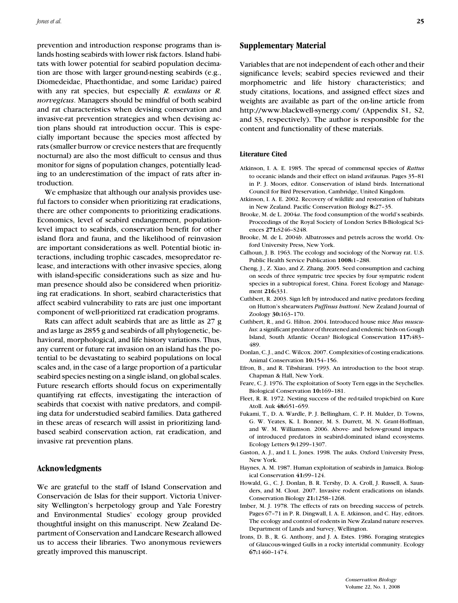prevention and introduction response programs than islands hosting seabirds with lower risk factors. Island habitats with lower potential for seabird population decimation are those with larger ground-nesting seabirds (e.g., Diomedeidae, Phaethontidae, and some Laridae) paired with any rat species, but especially *R. exulans* or *R. norvegicus*. Managers should be mindful of both seabird and rat characteristics when devising conservation and invasive-rat prevention strategies and when devising action plans should rat introduction occur. This is especially important because the species most affected by rats (smaller burrow or crevice nesters that are frequently nocturnal) are also the most difficult to census and thus monitor for signs of population changes, potentially leading to an underestimation of the impact of rats after introduction.

We emphasize that although our analysis provides useful factors to consider when prioritizing rat eradications, there are other components to prioritizing eradications. Economics, level of seabird endangerment, populationlevel impact to seabirds, conservation benefit for other island flora and fauna, and the likelihood of reinvasion are important considerations as well. Potential biotic interactions, including trophic cascades, mesopredator release, and interactions with other invasive species, along with island-specific considerations such as size and human presence should also be considered when prioritizing rat eradications. In short, seabird characteristics that affect seabird vulnerability to rats are just one important component of well-prioritized rat eradication programs.

Rats can affect adult seabirds that are as little as 27 g and as large as 2855 g and seabirds of all phylogenetic, behavioral, morphological, and life history variations. Thus, any current or future rat invasion on an island has the potential to be devastating to seabird populations on local scales and, in the case of a large proportion of a particular seabird species nesting on a single island, on global scales. Future research efforts should focus on experimentally quantifying rat effects, investigating the interaction of seabirds that coexist with native predators, and compiling data for understudied seabird families. Data gathered in these areas of research will assist in prioritizing landbased seabird conservation action, rat eradication, and invasive rat prevention plans.

## **Acknowledgments**

We are grateful to the staff of Island Conservation and Conservación de Islas for their support. Victoria University Wellington's herpetology group and Yale Forestry and Environmental Studies' ecology group provided thoughtful insight on this manuscript. New Zealand Department of Conservation and Landcare Research allowed us to access their libraries. Two anonymous reviewers greatly improved this manuscript.

## **Supplementary Material**

Variables that are not independent of each other and their significance levels; seabird species reviewed and their morphometric and life history characteristics; and study citations, locations, and assigned effect sizes and weights are available as part of the on-line article from http://www.blackwell-synergy.com/ (Appendix S1, S2, and S3, respectively). The author is responsible for the content and functionality of these materials.

#### **Literature Cited**

- Atkinson, I. A. E. 1985. The spread of commensal species of *Rattus* to oceanic islands and their effect on island avifaunas. Pages 35–81 in P. J. Moors, editor. Conservation of island birds. International Council for Bird Preservation, Cambridge, United Kingdom.
- Atkinson, I. A. E. 2002. Recovery of wildlife and restoration of habitats in New Zealand. Pacific Conservation Biology **8:**27–35.
- Brooke, M. de L. 2004*a*. The food consumption of the world's seabirds. Proceedings of the Royal Society of London Series B-Biological Sciences **271:**S246–S248.
- Brooke, M. de L. 2004*b*. Albatrosses and petrels across the world. Oxford University Press, New York.
- Calhoun, J. B. 1963. The ecology and sociology of the Norway rat. U.S. Public Health Service Publication **1008:**1–288.
- Cheng, J., Z. Xiao, and Z. Zhang. 2005. Seed consumption and caching on seeds of three sympatric tree species by four sympatric rodent species in a subtropical forest, China. Forest Ecology and Management **216:**331.
- Cuthbert, R. 2003. Sign left by introduced and native predators feeding on Hutton's shearwaters *Puffinus huttoni*. New Zealand Journal of Zoology **30:**163–170.
- Cuthbert, R., and G. Hilton. 2004. Introduced house mice *Mus musculus*: a significant predator of threatened and endemic birds on Gough Island, South Atlantic Ocean? Biological Conservation **117:**483– 489.
- Donlan, C. J., and C. Wilcox. 2007. Complexities of costing eradications. Animal Conservation **10:**154–156.
- Efron, B., and R. Tibshirani. 1993. An introduction to the boot strap. Chapman & Hall, New York.
- Feare, C. J. 1976. The exploitation of Sooty Tern eggs in the Seychelles. Biological Conservation **10:**169–181.
- Fleet, R. R. 1972. Nesting success of the red-tailed tropicbird on Kure Atoll. Auk **48:**651–659.
- Fukami, T., D. A. Wardle, P. J. Bellingham, C. P. H. Mulder, D. Towns, G. W. Yeates, K. I. Bonner, M. S. Durrett, M. N. Grant-Hoffman, and W. M. Williamson. 2006. Above- and below-ground impacts of introduced predators in seabird-dominated island ecosystems. Ecology Letters **9:**1299–1307.
- Gaston, A. J., and I. L. Jones. 1998. The auks. Oxford University Press, New York.
- Haynes, A. M. 1987. Human exploitation of seabirds in Jamaica. Biological Conservation **41:**99–124.
- Howald, G., C. J. Donlan, B. R. Tershy, D. A. Croll, J. Russell, A. Saunders, and M. Clout. 2007. Invasive rodent eradications on islands. Conservation Biology **21:**1258–1268.
- Imber, M. J. 1978. The effects of rats on breeding success of petrels. Pages 67–71 in P. R. Dingwall, I. A. E. Atkinson, and C. Hay, editors. The ecology and control of rodents in New Zealand nature reserves. Department of Lands and Survey, Wellington.
- Irons, D. B., R. G. Anthony, and J. A. Estes. 1986. Foraging strategies of Glaucous-winged Gulls in a rocky intertidal community. Ecology **67:**1460–1474.